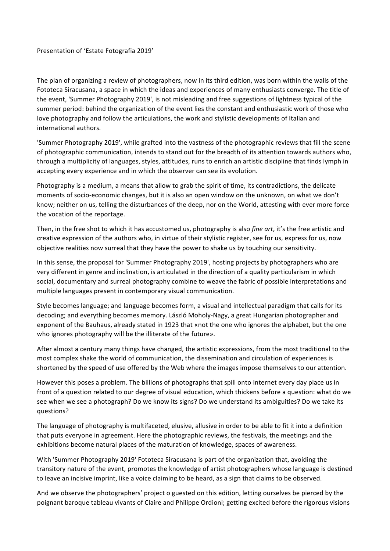## Presentation of 'Estate Fotografia 2019'

The plan of organizing a review of photographers, now in its third edition, was born within the walls of the Fototeca Siracusana, a space in which the ideas and experiences of many enthusiasts converge. The title of the event, 'Summer Photography 2019', is not misleading and free suggestions of lightness typical of the summer period: behind the organization of the event lies the constant and enthusiastic work of those who love photography and follow the articulations, the work and stylistic developments of Italian and international authors.

'Summer Photography 2019', while grafted into the vastness of the photographic reviews that fill the scene of photographic communication, intends to stand out for the breadth of its attention towards authors who, through a multiplicity of languages, styles, attitudes, runs to enrich an artistic discipline that finds lymph in accepting every experience and in which the observer can see its evolution.

Photography is a medium, a means that allow to grab the spirit of time, its contradictions, the delicate moments of socio-economic changes, but it is also an open window on the unknown, on what we don't know; neither on us, telling the disturbances of the deep, nor on the World, attesting with ever more force the vocation of the reportage.

Then, in the free shot to which it has accustomed us, photography is also *fine art*, it's the free artistic and creative expression of the authors who, in virtue of their stylistic register, see for us, express for us, now objective realities now surreal that they have the power to shake us by touching our sensitivity.

In this sense, the proposal for 'Summer Photography 2019', hosting projects by photographers who are very different in genre and inclination, is articulated in the direction of a quality particularism in which social, documentary and surreal photography combine to weave the fabric of possible interpretations and multiple languages present in contemporary visual communication.

Style becomes language; and language becomes form, a visual and intellectual paradigm that calls for its decoding; and everything becomes memory. László Moholy-Nagy, a great Hungarian photographer and exponent of the Bauhaus, already stated in 1923 that «not the one who ignores the alphabet, but the one who ignores photography will be the illiterate of the future».

After almost a century many things have changed, the artistic expressions, from the most traditional to the most complex shake the world of communication, the dissemination and circulation of experiences is shortened by the speed of use offered by the Web where the images impose themselves to our attention.

However this poses a problem. The billions of photographs that spill onto Internet every day place us in front of a question related to our degree of visual education, which thickens before a question: what do we see when we see a photograph? Do we know its signs? Do we understand its ambiguities? Do we take its questions?

The language of photography is multifaceted, elusive, allusive in order to be able to fit it into a definition that puts everyone in agreement. Here the photographic reviews, the festivals, the meetings and the exhibitions become natural places of the maturation of knowledge, spaces of awareness.

With 'Summer Photography 2019' Fototeca Siracusana is part of the organization that, avoiding the transitory nature of the event, promotes the knowledge of artist photographers whose language is destined to leave an incisive imprint, like a voice claiming to be heard, as a sign that claims to be observed.

And we observe the photographers' project o guested on this edition, letting ourselves be pierced by the poignant baroque tableau vivants of Claire and Philippe Ordioni; getting excited before the rigorous visions